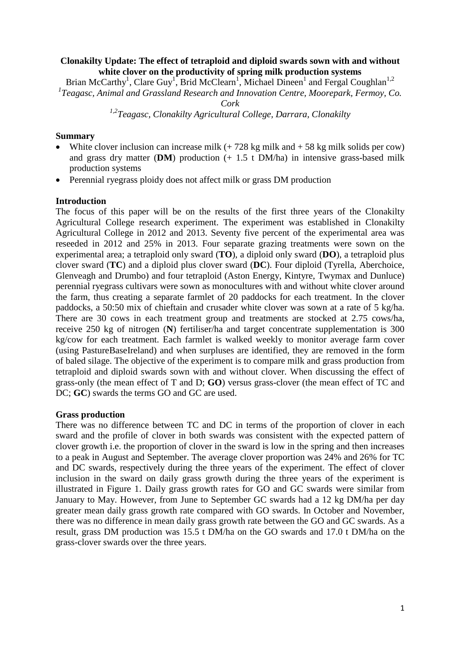# **Clonakilty Update: The effect of tetraploid and diploid swards sown with and without white clover on the productivity of spring milk production systems**

Brian McCarthy<sup>1</sup>, Clare Guy<sup>1</sup>, Brid McClearn<sup>1</sup>, Michael Dineen<sup>1</sup> and Fergal Coughlan<sup>1,2</sup> *1 Teagasc, Animal and Grassland Research and Innovation Centre, Moorepark, Fermoy, Co.*

*Cork*

*1,2Teagasc, Clonakilty Agricultural College, Darrara, Clonakilty*

### **Summary**

- White clover inclusion can increase milk  $(+ 728 \text{ kg} \text{ milk} \text{ and } +58 \text{ kg} \text{ milk} \text{ solids per cow})$ and grass dry matter (**DM**) production (+ 1.5 t DM/ha) in intensive grass-based milk production systems
- Perennial ryegrass ploidy does not affect milk or grass DM production

## **Introduction**

The focus of this paper will be on the results of the first three years of the Clonakilty Agricultural College research experiment. The experiment was established in Clonakilty Agricultural College in 2012 and 2013. Seventy five percent of the experimental area was reseeded in 2012 and 25% in 2013. Four separate grazing treatments were sown on the experimental area; a tetraploid only sward (**TO**), a diploid only sward (**DO**), a tetraploid plus clover sward (**TC**) and a diploid plus clover sward (**DC**). Four diploid (Tyrella, Aberchoice, Glenveagh and Drumbo) and four tetraploid (Aston Energy, Kintyre, Twymax and Dunluce) perennial ryegrass cultivars were sown as monocultures with and without white clover around the farm, thus creating a separate farmlet of 20 paddocks for each treatment. In the clover paddocks, a 50:50 mix of chieftain and crusader white clover was sown at a rate of 5 kg/ha. There are 30 cows in each treatment group and treatments are stocked at 2.75 cows/ha, receive 250 kg of nitrogen (**N**) fertiliser/ha and target concentrate supplementation is 300 kg/cow for each treatment. Each farmlet is walked weekly to monitor average farm cover (using PastureBaseIreland) and when surpluses are identified, they are removed in the form of baled silage. The objective of the experiment is to compare milk and grass production from tetraploid and diploid swards sown with and without clover. When discussing the effect of grass-only (the mean effect of T and D; **GO**) versus grass-clover (the mean effect of TC and DC; **GC**) swards the terms GO and GC are used.

#### **Grass production**

There was no difference between TC and DC in terms of the proportion of clover in each sward and the profile of clover in both swards was consistent with the expected pattern of clover growth i.e. the proportion of clover in the sward is low in the spring and then increases to a peak in August and September. The average clover proportion was 24% and 26% for TC and DC swards, respectively during the three years of the experiment. The effect of clover inclusion in the sward on daily grass growth during the three years of the experiment is illustrated in Figure 1. Daily grass growth rates for GO and GC swards were similar from January to May. However, from June to September GC swards had a 12 kg DM/ha per day greater mean daily grass growth rate compared with GO swards. In October and November, there was no difference in mean daily grass growth rate between the GO and GC swards. As a result, grass DM production was 15.5 t DM/ha on the GO swards and 17.0 t DM/ha on the grass-clover swards over the three years.